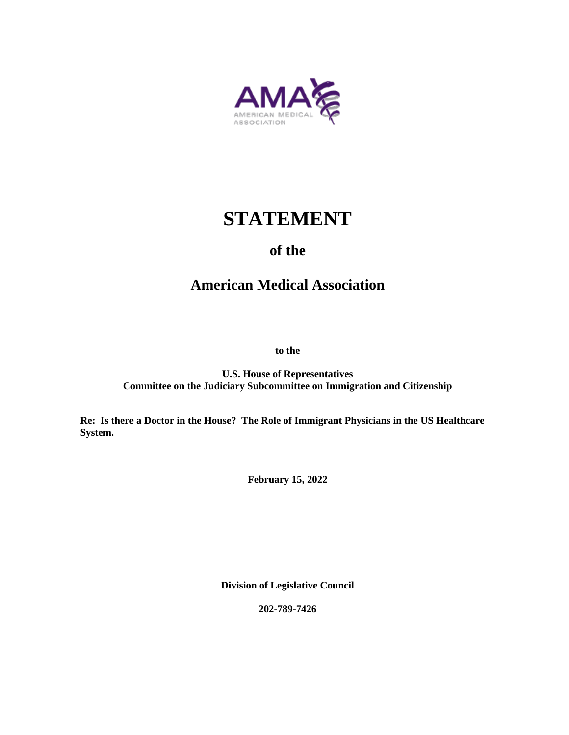

# **STATEMENT**

# **of the**

# **American Medical Association**

**to the**

**U.S. House of Representatives Committee on the Judiciary Subcommittee on Immigration and Citizenship**

**Re: Is there a Doctor in the House? The Role of Immigrant Physicians in the US Healthcare System.**

**February 15, 2022**

**Division of Legislative Council**

**202-789-7426**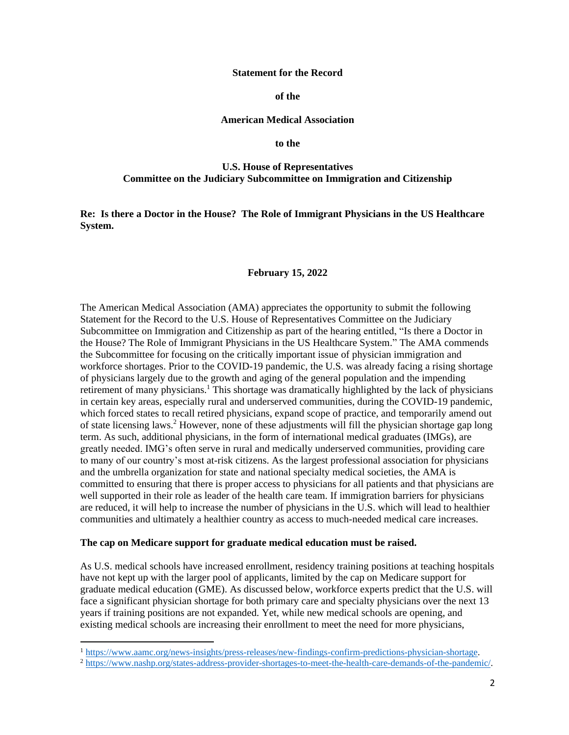#### **Statement for the Record**

**of the**

#### **American Medical Association**

**to the**

#### **U.S. House of Representatives Committee on the Judiciary Subcommittee on Immigration and Citizenship**

**Re: Is there a Doctor in the House? The Role of Immigrant Physicians in the US Healthcare System.**

#### **February 15, 2022**

The American Medical Association (AMA) appreciates the opportunity to submit the following Statement for the Record to the U.S. House of Representatives Committee on the Judiciary Subcommittee on Immigration and Citizenship as part of the hearing entitled, "Is there a Doctor in the House? The Role of Immigrant Physicians in the US Healthcare System." The AMA commends the Subcommittee for focusing on the critically important issue of physician immigration and workforce shortages. Prior to the COVID-19 pandemic, the U.S. was already facing a rising shortage of physicians largely due to the growth and aging of the general population and the impending retirement of many physicians.<sup>1</sup> This shortage was dramatically highlighted by the lack of physicians in certain key areas, especially rural and underserved communities, during the COVID-19 pandemic, which forced states to recall retired physicians, expand scope of practice, and temporarily amend out of state licensing laws.<sup>2</sup> However, none of these adjustments will fill the physician shortage gap long term. As such, additional physicians, in the form of international medical graduates (IMGs), are greatly needed. IMG's often serve in rural and medically underserved communities, providing care to many of our country's most at-risk citizens. As the largest professional association for physicians and the umbrella organization for state and national specialty medical societies, the AMA is committed to ensuring that there is proper access to physicians for all patients and that physicians are well supported in their role as leader of the health care team. If immigration barriers for physicians are reduced, it will help to increase the number of physicians in the U.S. which will lead to healthier communities and ultimately a healthier country as access to much-needed medical care increases.

#### **The cap on Medicare support for graduate medical education must be raised.**

As U.S. medical schools have increased enrollment, residency training positions at teaching hospitals have not kept up with the larger pool of applicants, limited by the cap on Medicare support for graduate medical education (GME). As discussed below, workforce experts predict that the U.S. will face a significant physician shortage for both primary care and specialty physicians over the next 13 years if training positions are not expanded. Yet, while new medical schools are opening, and existing medical schools are increasing their enrollment to meet the need for more physicians,

<sup>1</sup> [https://www.aamc.org/news-insights/press-releases/new-findings-confirm-predictions-physician-shortage.](https://www.aamc.org/news-insights/press-releases/new-findings-confirm-predictions-physician-shortage)

<sup>2</sup> [https://www.nashp.org/states-address-provider-shortages-to-meet-the-health-care-demands-of-the-pandemic/.](https://www.nashp.org/states-address-provider-shortages-to-meet-the-health-care-demands-of-the-pandemic/)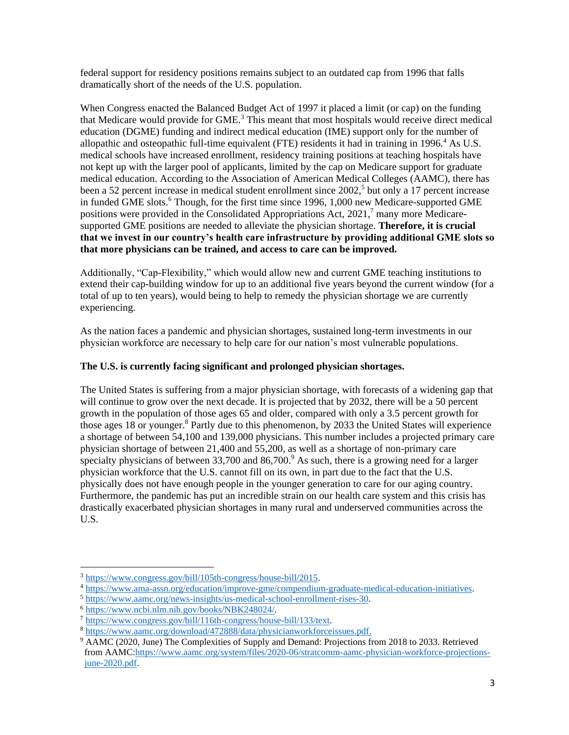federal support for residency positions remains subject to an outdated cap from 1996 that falls dramatically short of the needs of the U.S. population.

When Congress enacted the Balanced Budget Act of 1997 it placed a limit (or cap) on the funding that Medicare would provide for GME.<sup>3</sup> This meant that most hospitals would receive direct medical education (DGME) funding and indirect medical education (IME) support only for the number of allopathic and osteopathic full-time equivalent (FTE) residents it had in training in 1996.<sup>4</sup> As U.S. medical schools have increased enrollment, residency training positions at teaching hospitals have not kept up with the larger pool of applicants, limited by the cap on Medicare support for graduate medical education. According to the Association of American Medical Colleges (AAMC), there has been a 52 percent increase in medical student enrollment since 2002,<sup>5</sup> but only a 17 percent increase in funded GME slots.<sup>6</sup> Though, for the first time since 1996, 1,000 new Medicare-supported GME positions were provided in the Consolidated Appropriations Act, 2021,<sup>7</sup> many more Medicaresupported GME positions are needed to alleviate the physician shortage. **Therefore, it is crucial that we invest in our country's health care infrastructure by providing additional GME slots so that more physicians can be trained, and access to care can be improved.**

Additionally, "Cap-Flexibility," which would allow new and current GME teaching institutions to extend their cap-building window for up to an additional five years beyond the current window (for a total of up to ten years), would being to help to remedy the physician shortage we are currently experiencing.

As the nation faces a pandemic and physician shortages, sustained long-term investments in our physician workforce are necessary to help care for our nation's most vulnerable populations.

# **The U.S. is currently facing significant and prolonged physician shortages.**

The United States is suffering from a major physician shortage, with forecasts of a widening gap that will continue to grow over the next decade. It is projected that by 2032, there will be a 50 percent growth in the population of those ages 65 and older, compared with only a 3.5 percent growth for those ages 18 or younger.<sup>8</sup> Partly due to this phenomenon, by 2033 the United States will experience a shortage of between 54,100 and 139,000 physicians. This number includes a projected primary care physician shortage of between 21,400 and 55,200, as well as a shortage of non-primary care specialty physicians of between  $33,700$  and  $86,700$ .<sup>9</sup> As such, there is a growing need for a larger physician workforce that the U.S. cannot fill on its own, in part due to the fact that the U.S. physically does not have enough people in the younger generation to care for our aging country. Furthermore, the pandemic has put an incredible strain on our health care system and this crisis has drastically exacerbated physician shortages in many rural and underserved communities across the U.S.

<sup>3</sup> [https://www.congress.gov/bill/105th-congress/house-bill/2015.](https://www.congress.gov/bill/105th-congress/house-bill/2015)

<sup>4</sup> [https://www.ama-assn.org/education/improve-gme/compendium-graduate-medical-education-initiatives.](https://www.ama-assn.org/education/improve-gme/compendium-graduate-medical-education-initiatives)

<sup>5</sup> [https://www.aamc.org/news-insights/us-medical-school-enrollment-rises-30.](https://www.aamc.org/news-insights/us-medical-school-enrollment-rises-30)

<sup>6</sup> [https://www.ncbi.nlm.nih.gov/books/NBK248024/.](https://www.ncbi.nlm.nih.gov/books/NBK248024/) 

<sup>7</sup> [https://www.congress.gov/bill/116th-congress/house-bill/133/text.](https://www.congress.gov/bill/116th-congress/house-bill/133/text)

<sup>8</sup> [https://www.aamc.org/download/472888/data/physicianworkforceissues.pdf.](https://www.aamc.org/download/472888/data/physicianworkforceissues.pdf)

<sup>9</sup> AAMC (2020, June) The Complexities of Supply and Demand: Projections from 2018 to 2033. Retrieved from AAMC[:https://www.aamc.org/system/files/2020-06/stratcomm-aamc-physician-workforce-projections](https://www.aamc.org/system/files/2020-06/stratcomm-aamc-physician-workforce-projections-june-2020.pdf)[june-2020.pdf.](https://www.aamc.org/system/files/2020-06/stratcomm-aamc-physician-workforce-projections-june-2020.pdf)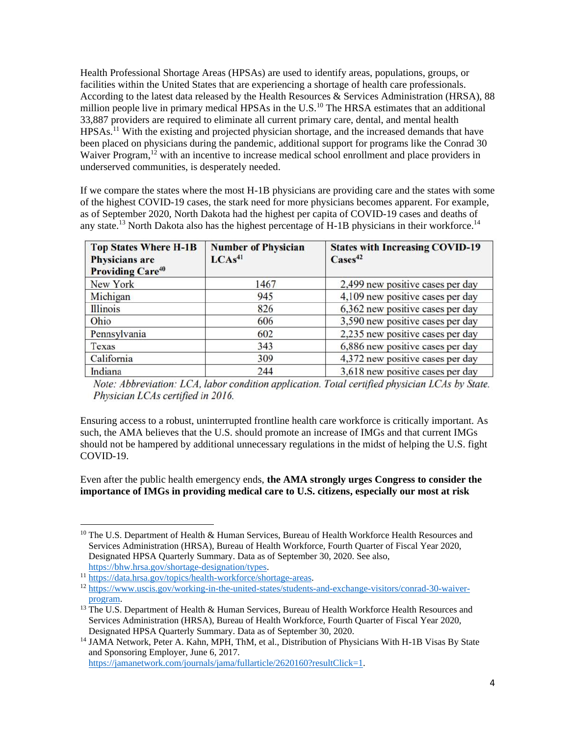Health Professional Shortage Areas (HPSAs) are used to identify areas, populations, groups, or facilities within the United States that are experiencing a shortage of health care professionals. According to the latest data released by the Health Resources & Services Administration (HRSA), 88 million people live in primary medical HPSAs in the U.S.<sup>10</sup> The HRSA estimates that an additional 33,887 providers are required to eliminate all current primary care, dental, and mental health HPSAs.<sup>11</sup> With the existing and projected physician shortage, and the increased demands that have been placed on physicians during the pandemic, additional support for programs like the Conrad 30 Waiver Program,<sup>12</sup> with an incentive to increase medical school enrollment and place providers in underserved communities, is desperately needed.

If we compare the states where the most H-1B physicians are providing care and the states with some of the highest COVID-19 cases, the stark need for more physicians becomes apparent. For example, as of September 2020, North Dakota had the highest per capita of COVID-19 cases and deaths of any state.<sup>13</sup> North Dakota also has the highest percentage of H-1B physicians in their workforce.<sup>14</sup>

| <b>Top States Where H-1B</b><br><b>Physicians</b> are<br><b>Providing Care<sup>40</sup></b> | <b>Number of Physician</b><br>LCAs <sup>41</sup> | <b>States with Increasing COVID-19</b><br>$\text{Case} \mathbf{s}^{42}$ |
|---------------------------------------------------------------------------------------------|--------------------------------------------------|-------------------------------------------------------------------------|
| New York                                                                                    | 1467                                             | 2,499 new positive cases per day                                        |
| Michigan                                                                                    | 945                                              | 4,109 new positive cases per day                                        |
| <b>Illinois</b>                                                                             | 826                                              | 6,362 new positive cases per day                                        |
| Ohio                                                                                        | 606                                              | 3,590 new positive cases per day                                        |
| Pennsylvania                                                                                | 602                                              | 2,235 new positive cases per day                                        |
| Texas                                                                                       | 343                                              | 6,886 new positive cases per day                                        |
| California                                                                                  | 309                                              | 4,372 new positive cases per day                                        |
| Indiana                                                                                     | 244                                              | 3,618 new positive cases per day                                        |

Note: Abbreviation: LCA, labor condition application. Total certified physician LCAs by State. Physician LCAs certified in 2016.

Ensuring access to a robust, uninterrupted frontline health care workforce is critically important. As such, the AMA believes that the U.S. should promote an increase of IMGs and that current IMGs should not be hampered by additional unnecessary regulations in the midst of helping the U.S. fight COVID-19.

Even after the public health emergency ends, **the AMA strongly urges Congress to consider the importance of IMGs in providing medical care to U.S. citizens, especially our most at risk** 

[https://jamanetwork.com/journals/jama/fullarticle/2620160?resultClick=1.](https://jamanetwork.com/journals/jama/fullarticle/2620160?resultClick=1)

<sup>&</sup>lt;sup>10</sup> The U.S. Department of Health & Human Services, Bureau of Health Workforce Health Resources and Services Administration (HRSA), Bureau of Health Workforce, Fourth Quarter of Fiscal Year 2020, Designated HPSA Quarterly Summary. Data as of September 30, 2020. See also, [https://bhw.hrsa.gov/shortage-designation/types.](https://bhw.hrsa.gov/shortage-designation/types)

<sup>11</sup> [https://data.hrsa.gov/topics/health-workforce/shortage-areas.](https://data.hrsa.gov/topics/health-workforce/shortage-areas)

<sup>12</sup> [https://www.uscis.gov/working-in-the-united-states/students-and-exchange-visitors/conrad-30-waiver](https://www.uscis.gov/working-in-the-united-states/students-and-exchange-visitors/conrad-30-waiver-program)[program.](https://www.uscis.gov/working-in-the-united-states/students-and-exchange-visitors/conrad-30-waiver-program) 

<sup>&</sup>lt;sup>13</sup> The U.S. Department of Health & Human Services, Bureau of Health Workforce Health Resources and Services Administration (HRSA), Bureau of Health Workforce, Fourth Quarter of Fiscal Year 2020, Designated HPSA Quarterly Summary. Data as of September 30, 2020.

<sup>&</sup>lt;sup>14</sup> JAMA Network, Peter A. Kahn, MPH, ThM, et al., Distribution of Physicians With H-1B Visas By State and Sponsoring Employer, June 6, 2017.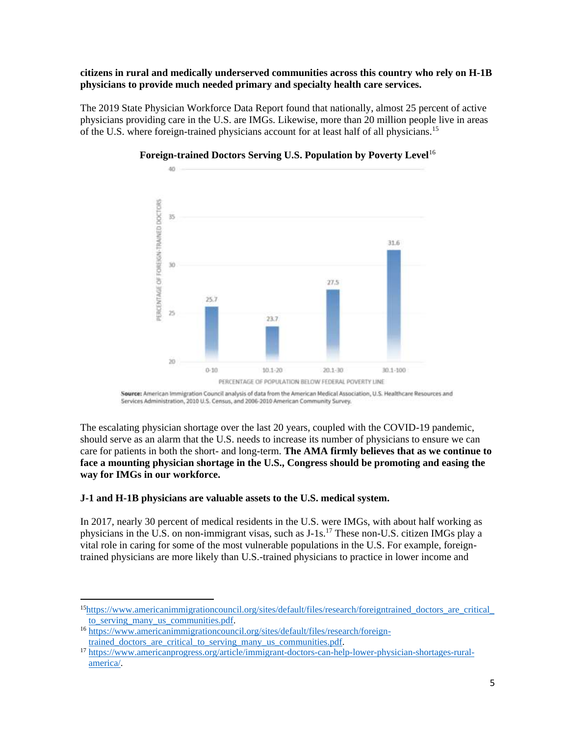### **citizens in rural and medically underserved communities across this country who rely on H-1B physicians to provide much needed primary and specialty health care services.**

The 2019 State Physician Workforce Data Report found that nationally, almost 25 percent of active physicians providing care in the U.S. are IMGs. Likewise, more than 20 million people live in areas of the U.S. where foreign-trained physicians account for at least half of all physicians.<sup>15</sup>



# **Foreign-trained Doctors Serving U.S. Population by Poverty Level**<sup>16</sup>

Source: American Immigration Council analysis of data from the American Medical Association, U.S. Healthcare Resources and Services Administration, 2010 U.S. Census, and 2006-2010 American Community Survey.

The escalating physician shortage over the last 20 years, coupled with the COVID-19 pandemic, should serve as an alarm that the U.S. needs to increase its number of physicians to ensure we can care for patients in both the short- and long-term. **The AMA firmly believes that as we continue to face a mounting physician shortage in the U.S., Congress should be promoting and easing the way for IMGs in our workforce.**

# **J-1 and H-1B physicians are valuable assets to the U.S. medical system.**

In 2017, nearly 30 percent of medical residents in the U.S. were IMGs, with about half working as physicians in the U.S. on non-immigrant visas, such as J-1s.<sup>17</sup> These non-U.S. citizen IMGs play a vital role in caring for some of the most vulnerable populations in the U.S. For example, foreigntrained physicians are more likely than U.S.-trained physicians to practice in lower income and

<sup>15</sup>[https://www.americanimmigrationcouncil.org/sites/default/files/research/foreigntrained\\_doctors\\_are\\_critical\\_](https://www.americanimmigrationcouncil.org/sites/default/files/research/foreigntrained_doctors_are_critical_to_serving_many_us_communities.pdf) to serving many us communities.pdf.

<sup>16</sup> [https://www.americanimmigrationcouncil.org/sites/default/files/research/foreign](https://www.americanimmigrationcouncil.org/sites/default/files/research/foreign-trained_doctors_are_critical_to_serving_many_us_communities.pdf)[trained\\_doctors\\_are\\_critical\\_to\\_serving\\_many\\_us\\_communities.pdf.](https://www.americanimmigrationcouncil.org/sites/default/files/research/foreign-trained_doctors_are_critical_to_serving_many_us_communities.pdf) 

<sup>17</sup> [https://www.americanprogress.org/article/immigrant-doctors-can-help-lower-physician-shortages-rural](https://www.americanprogress.org/article/immigrant-doctors-can-help-lower-physician-shortages-rural-america/)[america/.](https://www.americanprogress.org/article/immigrant-doctors-can-help-lower-physician-shortages-rural-america/)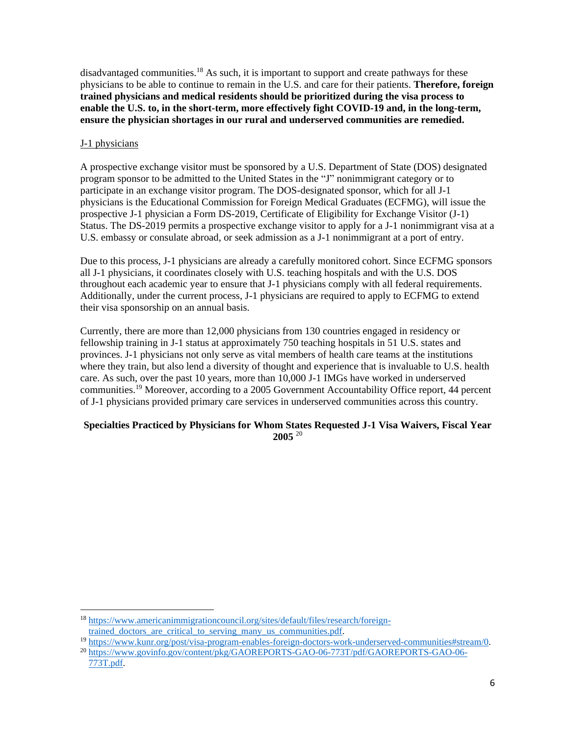disadvantaged communities.<sup>18</sup> As such, it is important to support and create pathways for these physicians to be able to continue to remain in the U.S. and care for their patients. **Therefore, foreign trained physicians and medical residents should be prioritized during the visa process to enable the U.S. to, in the short-term, more effectively fight COVID-19 and, in the long-term, ensure the physician shortages in our rural and underserved communities are remedied.**

# J-1 physicians

A prospective exchange visitor must be sponsored by a U.S. Department of State (DOS) designated program sponsor to be admitted to the United States in the "J" nonimmigrant category or to participate in an exchange visitor program. The DOS-designated sponsor, which for all J-1 physicians is the Educational Commission for Foreign Medical Graduates (ECFMG), will issue the prospective J-1 physician a Form DS-2019, Certificate of Eligibility for Exchange Visitor (J-1) Status. The DS-2019 permits a prospective exchange visitor to apply for a J-1 nonimmigrant visa at a U.S. embassy or consulate abroad, or seek admission as a J-1 nonimmigrant at a port of entry.

Due to this process, J-1 physicians are already a carefully monitored cohort. Since ECFMG sponsors all J-1 physicians, it coordinates closely with U.S. teaching hospitals and with the U.S. DOS throughout each academic year to ensure that J-1 physicians comply with all federal requirements. Additionally, under the current process, J-1 physicians are required to apply to ECFMG to extend their visa sponsorship on an annual basis.

Currently, there are more than 12,000 physicians from 130 countries engaged in residency or fellowship training in J-1 status at approximately 750 teaching hospitals in 51 U.S. states and provinces. J-1 physicians not only serve as vital members of health care teams at the institutions where they train, but also lend a diversity of thought and experience that is invaluable to U.S. health care. As such, over the past 10 years, more than 10,000 J-1 IMGs have worked in underserved communities.<sup>19</sup> Moreover, according to a 2005 Government Accountability Office report, 44 percent of J-1 physicians provided primary care services in underserved communities across this country.

### **Specialties Practiced by Physicians for Whom States Requested J-1 Visa Waivers, Fiscal Year 2005** <sup>20</sup>

<sup>18</sup> [https://www.americanimmigrationcouncil.org/sites/default/files/research/foreign](https://www.americanimmigrationcouncil.org/sites/default/files/research/foreign-trained_doctors_are_critical_to_serving_many_us_communities.pdf)trained doctors are critical to serving many us communities.pdf.

<sup>19</sup> [https://www.kunr.org/post/visa-program-enables-foreign-doctors-work-underserved-communities#stream/0.](https://www.kunr.org/post/visa-program-enables-foreign-doctors-work-underserved-communities#stream/0)

<sup>20</sup> [https://www.govinfo.gov/content/pkg/GAOREPORTS-GAO-06-773T/pdf/GAOREPORTS-GAO-06-](https://www.govinfo.gov/content/pkg/GAOREPORTS-GAO-06-773T/pdf/GAOREPORTS-GAO-06-773T.pdf) [773T.pdf.](https://www.govinfo.gov/content/pkg/GAOREPORTS-GAO-06-773T/pdf/GAOREPORTS-GAO-06-773T.pdf)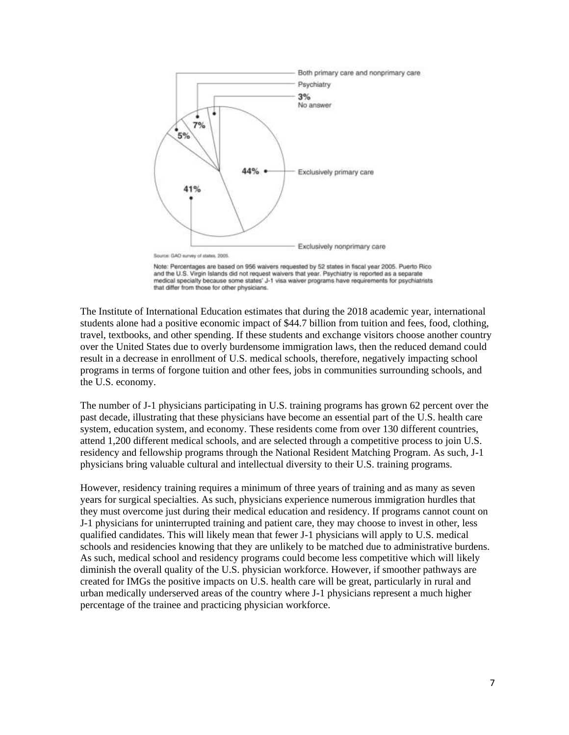

Note: Percentages are based on 956 waivers requested by 52 states in fiscal year 2005. Puerto Rico and the U.S. Virgin Islands did not request waivers that year. Psychiatry is reported as a separate medical specialty because some states' J-1 visa waiver programs have requirements for psychiatrists that differ from those for other physicians.

The Institute of International Education estimates that during the 2018 academic year, international students alone had a positive economic impact of \$44.7 billion from tuition and fees, food, clothing, travel, textbooks, and other spending. If these students and exchange visitors choose another country over the United States due to overly burdensome immigration laws, then the reduced demand could result in a decrease in enrollment of U.S. medical schools, therefore, negatively impacting school programs in terms of forgone tuition and other fees, jobs in communities surrounding schools, and the U.S. economy.

The number of J-1 physicians participating in U.S. training programs has grown 62 percent over the past decade, illustrating that these physicians have become an essential part of the U.S. health care system, education system, and economy. These residents come from over 130 different countries, attend 1,200 different medical schools, and are selected through a competitive process to join U.S. residency and fellowship programs through the National Resident Matching Program. As such, J-1 physicians bring valuable cultural and intellectual diversity to their U.S. training programs.

However, residency training requires a minimum of three years of training and as many as seven years for surgical specialties. As such, physicians experience numerous immigration hurdles that they must overcome just during their medical education and residency. If programs cannot count on J-1 physicians for uninterrupted training and patient care, they may choose to invest in other, less qualified candidates. This will likely mean that fewer J-1 physicians will apply to U.S. medical schools and residencies knowing that they are unlikely to be matched due to administrative burdens. As such, medical school and residency programs could become less competitive which will likely diminish the overall quality of the U.S. physician workforce. However, if smoother pathways are created for IMGs the positive impacts on U.S. health care will be great, particularly in rural and urban medically underserved areas of the country where J-1 physicians represent a much higher percentage of the trainee and practicing physician workforce.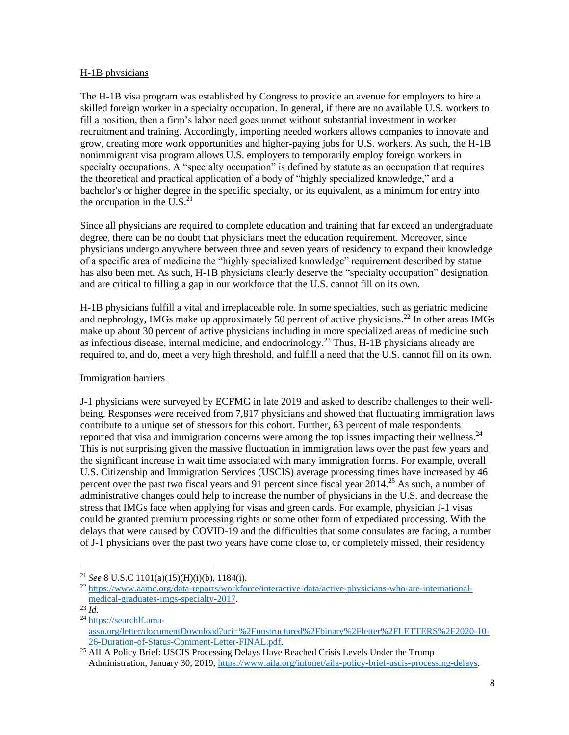#### H-1B physicians

The H-1B visa program was established by Congress to provide an avenue for employers to hire a skilled foreign worker in a specialty occupation. In general, if there are no available U.S. workers to fill a position, then a firm's labor need goes unmet without substantial investment in worker recruitment and training. Accordingly, importing needed workers allows companies to innovate and grow, creating more work opportunities and higher-paying jobs for U.S. workers. As such, the H-1B nonimmigrant visa program allows U.S. employers to temporarily employ foreign workers in specialty occupations. A "specialty occupation" is defined by statute as an occupation that requires the theoretical and practical application of a body of "highly specialized knowledge," and a bachelor's or higher degree in the specific specialty, or its equivalent, as a minimum for entry into the occupation in the U.S. $^{21}$ 

Since all physicians are required to complete education and training that far exceed an undergraduate degree, there can be no doubt that physicians meet the education requirement. Moreover, since physicians undergo anywhere between three and seven years of residency to expand their knowledge of a specific area of medicine the "highly specialized knowledge" requirement described by statue has also been met. As such, H-1B physicians clearly deserve the "specialty occupation" designation and are critical to filling a gap in our workforce that the U.S. cannot fill on its own.

H-1B physicians fulfill a vital and irreplaceable role. In some specialties, such as geriatric medicine and nephrology, IMGs make up approximately 50 percent of active physicians.<sup>22</sup> In other areas IMGs make up about 30 percent of active physicians including in more specialized areas of medicine such as infectious disease, internal medicine, and endocrinology.<sup>23</sup> Thus, H-1B physicians already are required to, and do, meet a very high threshold, and fulfill a need that the U.S. cannot fill on its own.

### Immigration barriers

J-1 physicians were surveyed by ECFMG in late 2019 and asked to describe challenges to their wellbeing. Responses were received from 7,817 physicians and showed that fluctuating immigration laws contribute to a unique set of stressors for this cohort. Further, 63 percent of male respondents reported that visa and immigration concerns were among the top issues impacting their wellness. $24$ This is not surprising given the massive fluctuation in immigration laws over the past few years and the significant increase in wait time associated with many immigration forms. For example, overall U.S. Citizenship and Immigration Services (USCIS) average processing times have increased by 46 percent over the past two fiscal years and 91 percent since fiscal year 2014.<sup>25</sup> As such, a number of administrative changes could help to increase the number of physicians in the U.S. and decrease the stress that IMGs face when applying for visas and green cards. For example, physician J-1 visas could be granted premium processing rights or some other form of expediated processing. With the delays that were caused by COVID-19 and the difficulties that some consulates are facing, a number of J-1 physicians over the past two years have come close to, or completely missed, their residency

<sup>21</sup> *See* 8 U.S.C 1101(a)(15)(H)(i)(b), 1184(i).

<sup>22</sup> [https://www.aamc.org/data-reports/workforce/interactive-data/active-physicians-who-are-international](https://www.aamc.org/data-reports/workforce/interactive-data/active-physicians-who-are-international-medical-graduates-imgs-specialty-2017)[medical-graduates-imgs-specialty-2017.](https://www.aamc.org/data-reports/workforce/interactive-data/active-physicians-who-are-international-medical-graduates-imgs-specialty-2017)

 $^{23}$ *Id*.

<sup>24</sup> [https://searchlf.ama](https://searchlf.ama-assn.org/letter/documentDownload?uri=%2Funstructured%2Fbinary%2Fletter%2FLETTERS%2F2020-10-26-Duration-of-Status-Comment-Letter-FINAL.pdf)[assn.org/letter/documentDownload?uri=%2Funstructured%2Fbinary%2Fletter%2FLETTERS%2F2020-10-](https://searchlf.ama-assn.org/letter/documentDownload?uri=%2Funstructured%2Fbinary%2Fletter%2FLETTERS%2F2020-10-26-Duration-of-Status-Comment-Letter-FINAL.pdf) [26-Duration-of-Status-Comment-Letter-FINAL.pdf.](https://searchlf.ama-assn.org/letter/documentDownload?uri=%2Funstructured%2Fbinary%2Fletter%2FLETTERS%2F2020-10-26-Duration-of-Status-Comment-Letter-FINAL.pdf) 

<sup>&</sup>lt;sup>25</sup> AILA Policy Brief: USCIS Processing Delays Have Reached Crisis Levels Under the Trump Administration, January 30, 2019[, https://www.aila.org/infonet/aila-policy-brief-uscis-processing-delays.](https://www.aila.org/infonet/aila-policy-brief-uscis-processing-delays)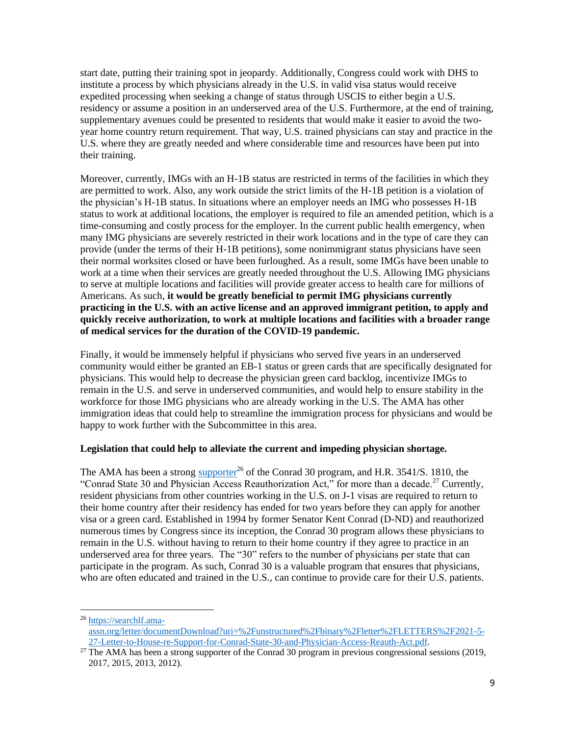start date, putting their training spot in jeopardy. Additionally, Congress could work with DHS to institute a process by which physicians already in the U.S. in valid visa status would receive expedited processing when seeking a change of status through USCIS to either begin a U.S. residency or assume a position in an underserved area of the U.S. Furthermore, at the end of training, supplementary avenues could be presented to residents that would make it easier to avoid the twoyear home country return requirement. That way, U.S. trained physicians can stay and practice in the U.S. where they are greatly needed and where considerable time and resources have been put into their training.

Moreover, currently, IMGs with an H-1B status are restricted in terms of the facilities in which they are permitted to work. Also, any work outside the strict limits of the H-1B petition is a violation of the physician's H-1B status. In situations where an employer needs an IMG who possesses H-1B status to work at additional locations, the employer is required to file an amended petition, which is a time-consuming and costly process for the employer. In the current public health emergency, when many IMG physicians are severely restricted in their work locations and in the type of care they can provide (under the terms of their H-1B petitions), some nonimmigrant status physicians have seen their normal worksites closed or have been furloughed. As a result, some IMGs have been unable to work at a time when their services are greatly needed throughout the U.S. Allowing IMG physicians to serve at multiple locations and facilities will provide greater access to health care for millions of Americans. As such, **it would be greatly beneficial to permit IMG physicians currently practicing in the U.S. with an active license and an approved immigrant petition, to apply and quickly receive authorization, to work at multiple locations and facilities with a broader range of medical services for the duration of the COVID-19 pandemic.**

Finally, it would be immensely helpful if physicians who served five years in an underserved community would either be granted an EB-1 status or green cards that are specifically designated for physicians. This would help to decrease the physician green card backlog, incentivize IMGs to remain in the U.S. and serve in underserved communities, and would help to ensure stability in the workforce for those IMG physicians who are already working in the U.S. The AMA has other immigration ideas that could help to streamline the immigration process for physicians and would be happy to work further with the Subcommittee in this area.

### **Legislation that could help to alleviate the current and impeding physician shortage.**

The AMA has been a strong [supporter](https://searchlf.ama-assn.org/letter/documentDownload?uri=%2Funstructured%2Fbinary%2Fletter%2FLETTERS%2F2021-5-27-Letter-to-House-re-Support-for-Conrad-State-30-and-Physician-Access-Reauth-Act.pdf)<sup>26</sup> of the Conrad 30 program, and H.R. 3541/S. 1810, the "Conrad State 30 and Physician Access Reauthorization Act," for more than a decade.<sup>27</sup> Currently, resident physicians from other countries working in the U.S. on J-1 visas are required to return to their home country after their residency has ended for two years before they can apply for another visa or a green card. Established in 1994 by former Senator Kent Conrad (D-ND) and reauthorized numerous times by Congress since its inception, the Conrad 30 program allows these physicians to remain in the U.S. without having to return to their home country if they agree to practice in an underserved area for three years. The "30" refers to the number of physicians per state that can participate in the program. As such, Conrad 30 is a valuable program that ensures that physicians, who are often educated and trained in the U.S., can continue to provide care for their U.S. patients.

<sup>26</sup> [https://searchlf.ama](https://searchlf.ama-assn.org/letter/documentDownload?uri=%2Funstructured%2Fbinary%2Fletter%2FLETTERS%2F2021-5-27-Letter-to-House-re-Support-for-Conrad-State-30-and-Physician-Access-Reauth-Act.pdf)[assn.org/letter/documentDownload?uri=%2Funstructured%2Fbinary%2Fletter%2FLETTERS%2F2021-5-](https://searchlf.ama-assn.org/letter/documentDownload?uri=%2Funstructured%2Fbinary%2Fletter%2FLETTERS%2F2021-5-27-Letter-to-House-re-Support-for-Conrad-State-30-and-Physician-Access-Reauth-Act.pdf) [27-Letter-to-House-re-Support-for-Conrad-State-30-and-Physician-Access-Reauth-Act.pdf.](https://searchlf.ama-assn.org/letter/documentDownload?uri=%2Funstructured%2Fbinary%2Fletter%2FLETTERS%2F2021-5-27-Letter-to-House-re-Support-for-Conrad-State-30-and-Physician-Access-Reauth-Act.pdf)

<sup>&</sup>lt;sup>27</sup> The AMA has been a strong supporter of the Conrad 30 program in previous congressional sessions (2019, 2017, 2015, 2013, 2012).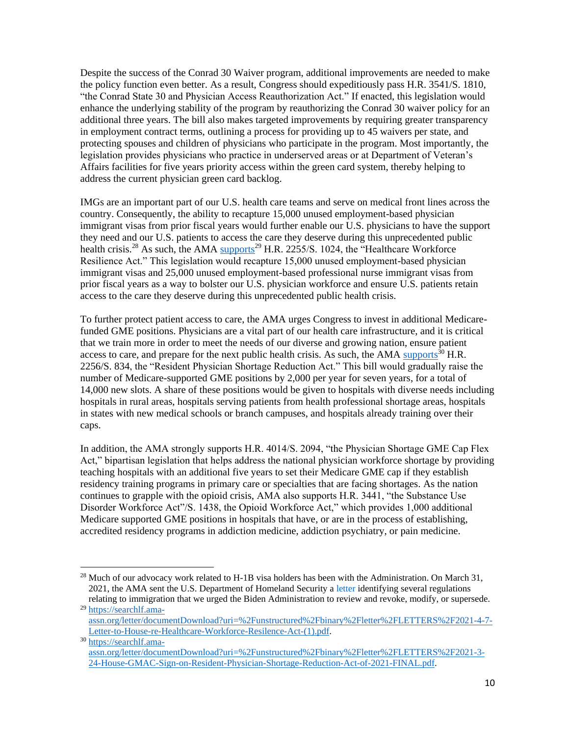Despite the success of the Conrad 30 Waiver program, additional improvements are needed to make the policy function even better. As a result, Congress should expeditiously pass H.R. 3541/S. 1810, "the Conrad State 30 and Physician Access Reauthorization Act." If enacted, this legislation would enhance the underlying stability of the program by reauthorizing the Conrad 30 waiver policy for an additional three years. The bill also makes targeted improvements by requiring greater transparency in employment contract terms, outlining a process for providing up to 45 waivers per state, and protecting spouses and children of physicians who participate in the program. Most importantly, the legislation provides physicians who practice in underserved areas or at Department of Veteran's Affairs facilities for five years priority access within the green card system, thereby helping to address the current physician green card backlog.

IMGs are an important part of our U.S. health care teams and serve on medical front lines across the country. Consequently, the ability to recapture 15,000 unused employment-based physician immigrant visas from prior fiscal years would further enable our U.S. physicians to have the support they need and our U.S. patients to access the care they deserve during this unprecedented public health crisis.<sup>28</sup> As such, the AMA [supports](https://searchlf.ama-assn.org/letter/documentDownload?uri=%2Funstructured%2Fbinary%2Fletter%2FLETTERS%2F2021-4-7-Letter-to-House-re-Healthcare-Workforce-Resilence-Act-(1).pdf)<sup>29</sup> H.R. 2255/S. 1024, the "Healthcare Workforce" Resilience Act." This legislation would recapture 15,000 unused employment-based physician immigrant visas and 25,000 unused employment-based professional nurse immigrant visas from prior fiscal years as a way to bolster our U.S. physician workforce and ensure U.S. patients retain access to the care they deserve during this unprecedented public health crisis.

To further protect patient access to care, the AMA urges Congress to invest in additional Medicarefunded GME positions. Physicians are a vital part of our health care infrastructure, and it is critical that we train more in order to meet the needs of our diverse and growing nation, ensure patient access to care, and prepare for the next public health crisis. As such, the AMA [supports](https://searchlf.ama-assn.org/letter/documentDownload?uri=%2Funstructured%2Fbinary%2Fletter%2FLETTERS%2F2021-3-24-House-GMAC-Sign-on-Resident-Physician-Shortage-Reduction-Act-of-2021-FINAL.pdf)<sup>30</sup> H.R. 2256/S. 834, the "Resident Physician Shortage Reduction Act." This bill would gradually raise the number of Medicare-supported GME positions by 2,000 per year for seven years, for a total of 14,000 new slots. A share of these positions would be given to hospitals with diverse needs including hospitals in rural areas, hospitals serving patients from health professional shortage areas, hospitals in states with new medical schools or branch campuses, and hospitals already training over their caps.

In addition, the AMA strongly supports H.R. 4014/S. 2094, "the Physician Shortage GME Cap Flex Act," bipartisan legislation that helps address the national physician workforce shortage by providing teaching hospitals with an additional five years to set their Medicare GME cap if they establish residency training programs in primary care or specialties that are facing shortages. As the nation continues to grapple with the opioid crisis, AMA also supports H.R. 3441, "the Substance Use Disorder Workforce Act"/S. 1438, the Opioid Workforce Act," which provides 1,000 additional Medicare supported GME positions in hospitals that have, or are in the process of establishing, accredited residency programs in addiction medicine, addiction psychiatry, or pain medicine.

 $^{28}$  Much of our advocacy work related to H-1B visa holders has been with the Administration. On March 31, 2021, the AMA sent the U.S. Department of Homeland Security a letter identifying several regulations relating to immigration that we urged the Biden Administration to review and revoke, modify, or supersede.

<sup>&</sup>lt;sup>29</sup> [https://searchlf.ama](https://searchlf.ama-assn.org/letter/documentDownload?uri=%2Funstructured%2Fbinary%2Fletter%2FLETTERS%2F2021-4-7-Letter-to-House-re-Healthcare-Workforce-Resilence-Act-(1).pdf)[assn.org/letter/documentDownload?uri=%2Funstructured%2Fbinary%2Fletter%2FLETTERS%2F2021-4-7-](https://searchlf.ama-assn.org/letter/documentDownload?uri=%2Funstructured%2Fbinary%2Fletter%2FLETTERS%2F2021-4-7-Letter-to-House-re-Healthcare-Workforce-Resilence-Act-(1).pdf) [Letter-to-House-re-Healthcare-Workforce-Resilence-Act-\(1\).pdf.](https://searchlf.ama-assn.org/letter/documentDownload?uri=%2Funstructured%2Fbinary%2Fletter%2FLETTERS%2F2021-4-7-Letter-to-House-re-Healthcare-Workforce-Resilence-Act-(1).pdf) 

<sup>30</sup> [https://searchlf.ama](https://searchlf.ama-assn.org/letter/documentDownload?uri=%2Funstructured%2Fbinary%2Fletter%2FLETTERS%2F2021-3-24-House-GMAC-Sign-on-Resident-Physician-Shortage-Reduction-Act-of-2021-FINAL.pdf)[assn.org/letter/documentDownload?uri=%2Funstructured%2Fbinary%2Fletter%2FLETTERS%2F2021-3-](https://searchlf.ama-assn.org/letter/documentDownload?uri=%2Funstructured%2Fbinary%2Fletter%2FLETTERS%2F2021-3-24-House-GMAC-Sign-on-Resident-Physician-Shortage-Reduction-Act-of-2021-FINAL.pdf) [24-House-GMAC-Sign-on-Resident-Physician-Shortage-Reduction-Act-of-2021-FINAL.pdf.](https://searchlf.ama-assn.org/letter/documentDownload?uri=%2Funstructured%2Fbinary%2Fletter%2FLETTERS%2F2021-3-24-House-GMAC-Sign-on-Resident-Physician-Shortage-Reduction-Act-of-2021-FINAL.pdf)